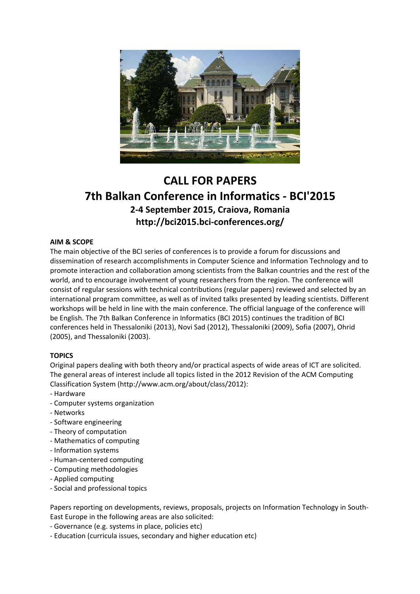

# **CALL FOR PAPERS 7th Balkan Conference in Informatics ‐ BCI'2015 2‐4 September 2015, Craiova, Romania http://bci2015.bci‐conferences.org/**

## **AIM & SCOPE**

The main objective of the BCI series of conferences is to provide a forum for discussions and dissemination of research accomplishments in Computer Science and Information Technology and to promote interaction and collaboration among scientists from the Balkan countries and the rest of the world, and to encourage involvement of young researchers from the region. The conference will consist of regular sessions with technical contributions (regular papers) reviewed and selected by an international program committee, as well as of invited talks presented by leading scientists. Different workshops will be held in line with the main conference. The official language of the conference will be English. The 7th Balkan Conference in Informatics (BCI 2015) continues the tradition of BCI conferences held in Thessaloniki (2013), Novi Sad (2012), Thessaloniki (2009), Sofia (2007), Ohrid (2005), and Thessaloniki (2003).

### **TOPICS**

Original papers dealing with both theory and/or practical aspects of wide areas of ICT are solicited. The general areas of interest include all topics listed in the 2012 Revision of the ACM Computing Classification System (http://www.acm.org/about/class/2012):

- ‐ Hardware
- ‐ Computer systems organization
- ‐ Networks
- ‐ Software engineering
- ‐ Theory of computation
- ‐ Mathematics of computing
- ‐ Information systems
- ‐ Human‐centered computing
- ‐ Computing methodologies
- ‐ Applied computing
- ‐ Social and professional topics

Papers reporting on developments, reviews, proposals, projects on Information Technology in South‐ East Europe in the following areas are also solicited:

- ‐ Governance (e.g. systems in place, policies etc)
- ‐ Education (curricula issues, secondary and higher education etc)